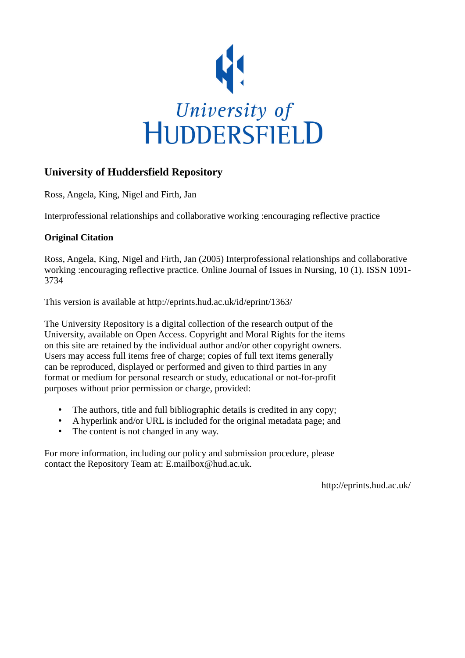

# **University of Huddersfield Repository**

Ross, Angela, King, Nigel and Firth, Jan

Interprofessional relationships and collaborative working :encouraging reflective practice

# **Original Citation**

Ross, Angela, King, Nigel and Firth, Jan (2005) Interprofessional relationships and collaborative working :encouraging reflective practice. Online Journal of Issues in Nursing, 10 (1). ISSN 1091- 3734

This version is available at http://eprints.hud.ac.uk/id/eprint/1363/

The University Repository is a digital collection of the research output of the University, available on Open Access. Copyright and Moral Rights for the items on this site are retained by the individual author and/or other copyright owners. Users may access full items free of charge; copies of full text items generally can be reproduced, displayed or performed and given to third parties in any format or medium for personal research or study, educational or not-for-profit purposes without prior permission or charge, provided:

- The authors, title and full bibliographic details is credited in any copy;
- A hyperlink and/or URL is included for the original metadata page; and
- The content is not changed in any way.

For more information, including our policy and submission procedure, please contact the Repository Team at: E.mailbox@hud.ac.uk.

http://eprints.hud.ac.uk/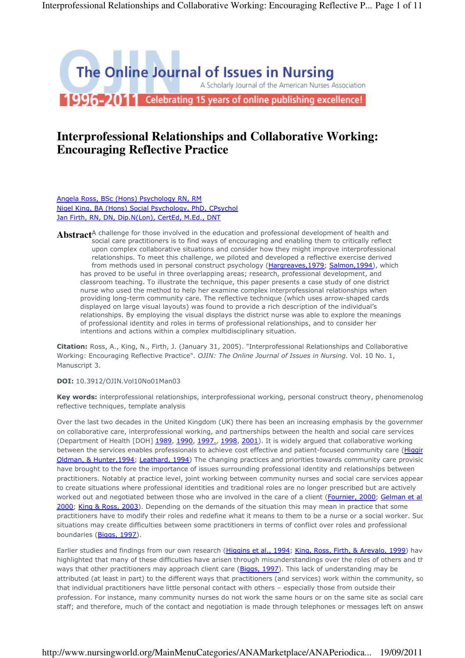

# **Interprofessional Relationships and Collaborative Working: Encouraging Reflective Practice**

Angela Ross, BSc (Hons) Psychology RN, RM Nigel King, BA (Hons) Social Psychology, PhD, CPsychol Jan Firth, RN, DN, Dip.N(Lon), CertEd, M.Ed., DNT

**Abstract**<sup>A</sup> challenge for those involved in the education and professional development of health and **Abstract**<sup>A</sup> challenge and and the subjective and and social care practitioners is to find ways of encouraging and enabling them to critically reflect upon complex collaborative situations and consider how they might improve interprofessional relationships. To meet this challenge, we piloted and developed a reflective exercise derived from methods used in personal construct psychology (Hargreaves, 1979; Salmon, 1994), which has proved to be useful in three overlapping areas; research, professional development, and classroom teaching. To illustrate the technique, this paper presents a case study of one district nurse who used the method to help her examine complex interprofessional relationships when providing long-term community care. The reflective technique (which uses arrow-shaped cards displayed on large visual layouts) was found to provide a rich description of the individual's relationships. By employing the visual displays the district nurse was able to explore the meanings of professional identity and roles in terms of professional relationships, and to consider her intentions and actions within a complex multidisciplinary situation.

Citation: Ross, A., King, N., Firth, J. (January 31, 2005). "Interprofessional Relationships and Collaborative Working: Encouraging Reflective Practice". OJIN: The Online Journal of Issues in Nursing. Vol. 10 No. 1, Manuscript 3.

#### DOI: 10.3912/OJIN.Vol10No01Man03

Key words: interprofessional relationships, interprofessional working, personal construct theory, phenomenolog reflective techniques, template analysis

Over the last two decades in the United Kingdom (UK) there has been an increasing emphasis by the governmer on collaborative care, interprofessional working, and partnerships between the health and social care services (Department of Health [DOH] 1989, 1990, 1997., 1998, 2001). It is widely argued that collaborative working between the services enables professionals to achieve cost effective and patient-focused community care (Higgir Oldman, & Hunter, 1994; Leathard, 1994) The changing practices and priorities towards community care provisic have brought to the fore the importance of issues surrounding professional identity and relationships between practitioners. Notably at practice level, joint working between community nurses and social care services appear to create situations where professional identities and traditional roles are no longer prescribed but are actively worked out and negotiated between those who are involved in the care of a client (Fournier, 2000; Gelman et al. 2000; King & Ross, 2003). Depending on the demands of the situation this may mean in practice that some practitioners have to modify their roles and redefine what it means to them to be a nurse or a social worker. Such situations may create difficulties between some practitioners in terms of conflict over roles and professional boundaries (Biggs, 1997).

Earlier studies and findings from our own research (Higgins et al., 1994; King, Ross, Firth, & Arevalo, 1999) have highlighted that many of these difficulties have arisen through misunderstandings over the roles of others and the ways that other practitioners may approach client care (Biggs, 1997). This lack of understanding may be attributed (at least in part) to the different ways that practitioners (and services) work within the community, so that individual practitioners have little personal contact with others – especially those from outside their profession. For instance, many community nurses do not work the same hours or on the same site as social care staff; and therefore, much of the contact and negotiation is made through telephones or messages left on answe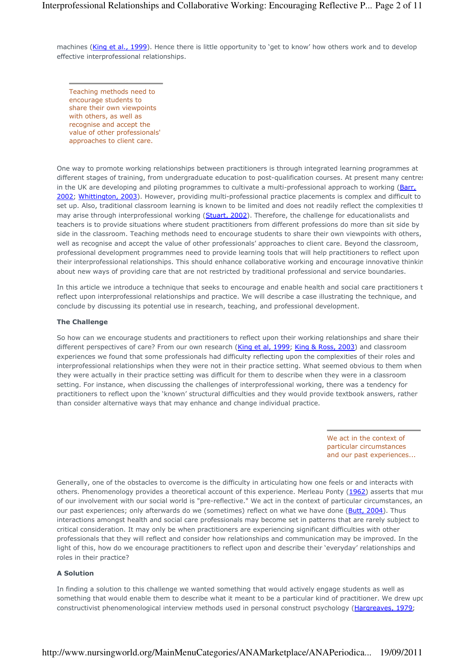machines (King et al., 1999). Hence there is little opportunity to 'get to know' how others work and to develop effective interprofessional relationships.

Teaching methods need to encourage students to share their own viewpoints with others, as well as recognise and accept the value of other professionals' approaches to client care.

One way to promote working relationships between practitioners is through integrated learning programmes at different stages of training, from undergraduate education to post-qualification courses. At present many centres in the UK are developing and piloting programmes to cultivate a multi-professional approach to working (Barr, 2002; Whittington, 2003). However, providing multi-professional practice placements is complex and difficult to set up. Also, traditional classroom learning is known to be limited and does not readily reflect the complexities that may arise through interprofessional working (Stuart, 2002). Therefore, the challenge for educationalists and teachers is to provide situations where student practitioners from different professions do more than sit side by side in the classroom. Teaching methods need to encourage students to share their own viewpoints with others, well as recognise and accept the value of other professionals' approaches to client care. Beyond the classroom, professional development programmes need to provide learning tools that will help practitioners to reflect upon their interprofessional relationships. This should enhance collaborative working and encourage innovative thinking about new ways of providing care that are not restricted by traditional professional and service boundaries.

In this article we introduce a technique that seeks to encourage and enable health and social care practitioners t reflect upon interprofessional relationships and practice. We will describe a case illustrating the technique, and conclude by discussing its potential use in research, teaching, and professional development.

#### The Challenge

So how can we encourage students and practitioners to reflect upon their working relationships and share their different perspectives of care? From our own research (King et al, 1999; King & Ross, 2003) and classroom experiences we found that some professionals had difficulty reflecting upon the complexities of their roles and interprofessional relationships when they were not in their practice setting. What seemed obvious to them when they were actually in their practice setting was difficult for them to describe when they were in a classroom setting. For instance, when discussing the challenges of interprofessional working, there was a tendency for practitioners to reflect upon the 'known' structural difficulties and they would provide textbook answers, rather than consider alternative ways that may enhance and change individual practice.

> We act in the context of particular circumstances and our past experiences...

Generally, one of the obstacles to overcome is the difficulty in articulating how one feels or and interacts with others. Phenomenology provides a theoretical account of this experience. Merleau Ponty (1962) asserts that muc of our involvement with our social world is "pre-reflective." We act in the context of particular circumstances, an our past experiences; only afterwards do we (sometimes) reflect on what we have done (Butt, 2004). Thus interactions amongst health and social care professionals may become set in patterns that are rarely subject to critical consideration. It may only be when practitioners are experiencing significant difficulties with other professionals that they will reflect and consider how relationships and communication may be improved. In the light of this, how do we encourage practitioners to reflect upon and describe their 'everyday' relationships and roles in their practice?

#### A Solution

In finding a solution to this challenge we wanted something that would actively engage students as well as something that would enable them to describe what it meant to be a particular kind of practitioner. We drew upo constructivist phenomenological interview methods used in personal construct psychology (Hargreaves, 1979;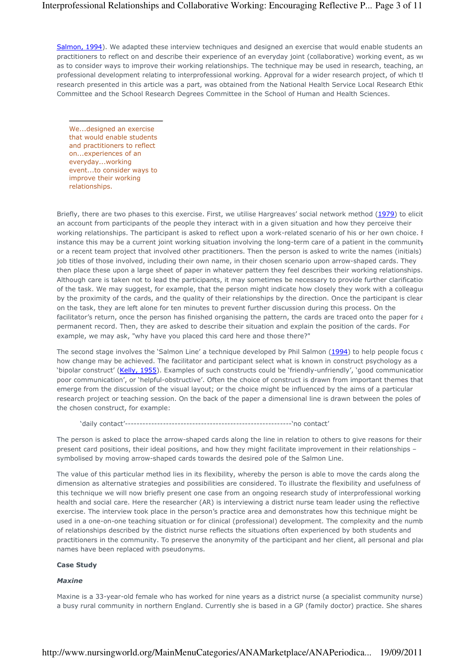Salmon, 1994). We adapted these interview techniques and designed an exercise that would enable students an practitioners to reflect on and describe their experience of an everyday joint (collaborative) working event, as we as to consider ways to improve their working relationships. The technique may be used in research, teaching, an professional development relating to interprofessional working. Approval for a wider research project, of which tl research presented in this article was a part, was obtained from the National Health Service Local Research Ethics Committee and the School Research Degrees Committee in the School of Human and Health Sciences.

We...designed an exercise that would enable students and practitioners to reflect on...experiences of an everyday...working event...to consider ways to improve their working relationships.

Briefly, there are two phases to this exercise. First, we utilise Hargreaves' social network method (1979) to elicit an account from participants of the people they interact with in a given situation and how they perceive their working relationships. The participant is asked to reflect upon a work-related scenario of his or her own choice. F instance this may be a current joint working situation involving the long-term care of a patient in the community, or a recent team project that involved other practitioners. Then the person is asked to write the names (initials) job titles of those involved, including their own name, in their chosen scenario upon arrow-shaped cards. They then place these upon a large sheet of paper in whatever pattern they feel describes their working relationships. Although care is taken not to lead the participants, it may sometimes be necessary to provide further clarification of the task. We may suggest, for example, that the person might indicate how closely they work with a colleague by the proximity of the cards, and the quality of their relationships by the direction. Once the participant is clear on the task, they are left alone for ten minutes to prevent further discussion during this process. On the facilitator's return, once the person has finished organising the pattern, the cards are traced onto the paper for a permanent record. Then, they are asked to describe their situation and explain the position of the cards. For example, we may ask, "why have you placed this card here and those there?"

The second stage involves the 'Salmon Line' a technique developed by Phil Salmon (1994) to help people focus on how change may be achieved. The facilitator and participant select what is known in construct psychology as a 'bipolar construct' (Kelly, 1955). Examples of such constructs could be 'friendly-unfriendly', 'good communication poor communication', or 'helpful-obstructive'. Often the choice of construct is drawn from important themes that emerge from the discussion of the visual layout; or the choice might be influenced by the aims of a particular research project or teaching session. On the back of the paper a dimensional line is drawn between the poles of the chosen construct, for example:

'daily contact'---------------------------------------------------------'no contact'

The person is asked to place the arrow-shaped cards along the line in relation to others to give reasons for their present card positions, their ideal positions, and how they might facilitate improvement in their relationships – symbolised by moving arrow-shaped cards towards the desired pole of the Salmon Line.

The value of this particular method lies in its flexibility, whereby the person is able to move the cards along the dimension as alternative strategies and possibilities are considered. To illustrate the flexibility and usefulness of this technique we will now briefly present one case from an ongoing research study of interprofessional working health and social care. Here the researcher (AR) is interviewing a district nurse team leader using the reflective exercise. The interview took place in the person's practice area and demonstrates how this technique might be used in a one-on-one teaching situation or for clinical (professional) development. The complexity and the numb of relationships described by the district nurse reflects the situations often experienced by both students and practitioners in the community. To preserve the anonymity of the participant and her client, all personal and plac names have been replaced with pseudonyms.

#### Case Study

#### **Maxine**

Maxine is a 33-year-old female who has worked for nine years as a district nurse (a specialist community nurse) a busy rural community in northern England. Currently she is based in a GP (family doctor) practice. She shares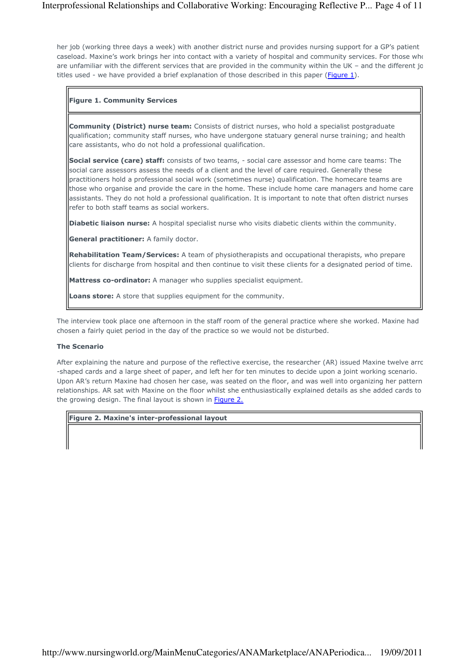her job (working three days a week) with another district nurse and provides nursing support for a GP's patient caseload. Maxine's work brings her into contact with a variety of hospital and community services. For those who are unfamiliar with the different services that are provided in the community within the UK – and the different ic titles used - we have provided a brief explanation of those described in this paper (Figure 1).

## Figure 1. Community Services

**Community (District) nurse team:** Consists of district nurses, who hold a specialist postgraduate qualification; community staff nurses, who have undergone statuary general nurse training; and health care assistants, who do not hold a professional qualification.

Social service (care) staff: consists of two teams, - social care assessor and home care teams: The social care assessors assess the needs of a client and the level of care required. Generally these practitioners hold a professional social work (sometimes nurse) qualification. The homecare teams are those who organise and provide the care in the home. These include home care managers and home care assistants. They do not hold a professional qualification. It is important to note that often district nurses refer to both staff teams as social workers.

Diabetic liaison nurse: A hospital specialist nurse who visits diabetic clients within the community.

General practitioner: A family doctor.

Rehabilitation Team/Services: A team of physiotherapists and occupational therapists, who prepare clients for discharge from hospital and then continue to visit these clients for a designated period of time.

Mattress co-ordinator: A manager who supplies specialist equipment.

Loans store: A store that supplies equipment for the community.

The interview took place one afternoon in the staff room of the general practice where she worked. Maxine had chosen a fairly quiet period in the day of the practice so we would not be disturbed.

## The Scenario

After explaining the nature and purpose of the reflective exercise, the researcher (AR) issued Maxine twelve arro -shaped cards and a large sheet of paper, and left her for ten minutes to decide upon a joint working scenario. Upon AR's return Maxine had chosen her case, was seated on the floor, and was well into organizing her pattern relationships. AR sat with Maxine on the floor whilst she enthusiastically explained details as she added cards to the growing design. The final layout is shown in **Figure 2.** 

## Figure 2. Maxine's inter-professional layout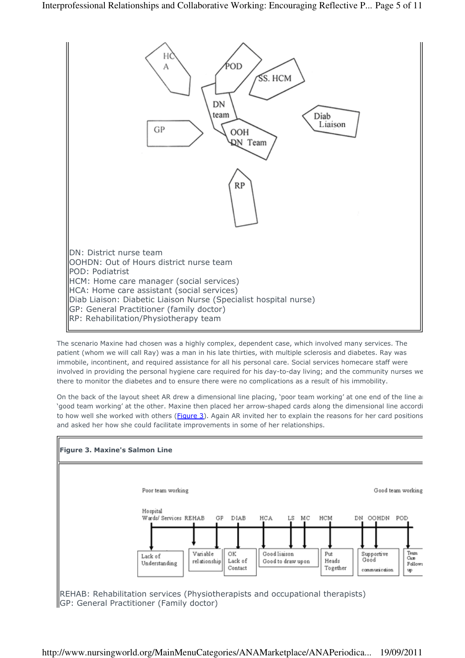

The scenario Maxine had chosen was a highly complex, dependent case, which involved many services. The patient (whom we will call Ray) was a man in his late thirties, with multiple sclerosis and diabetes. Ray was immobile, incontinent, and required assistance for all his personal care. Social services homecare staff were involved in providing the personal hygiene care required for his day-to-day living; and the community nurses we there to monitor the diabetes and to ensure there were no complications as a result of his immobility.

On the back of the layout sheet AR drew a dimensional line placing, 'poor team working' at one end of the line and 'good team working' at the other. Maxine then placed her arrow-shaped cards along the dimensional line accordi to how well she worked with others (Figure 3). Again AR invited her to explain the reasons for her card positions and asked her how she could facilitate improvements in some of her relationships.

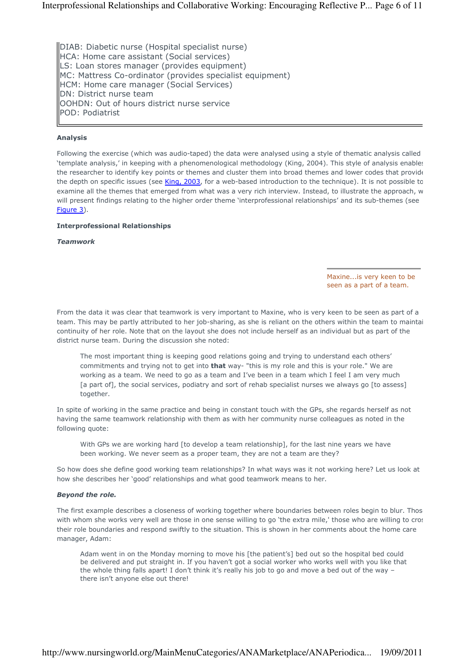DIAB: Diabetic nurse (Hospital specialist nurse) HCA: Home care assistant (Social services) LS: Loan stores manager (provides equipment) MC: Mattress Co-ordinator (provides specialist equipment) HCM: Home care manager (Social Services) DN: District nurse team OOHDN: Out of hours district nurse service POD: Podiatrist

### Analysis

Following the exercise (which was audio-taped) the data were analysed using a style of thematic analysis called 'template analysis,' in keeping with a phenomenological methodology (King, 2004). This style of analysis enables the researcher to identify key points or themes and cluster them into broad themes and lower codes that provide the depth on specific issues (see King, 2003, for a web-based introduction to the technique). It is not possible to examine all the themes that emerged from what was a very rich interview. Instead, to illustrate the approach, w will present findings relating to the higher order theme 'interprofessional relationships' and its sub-themes (see Figure 3).

#### Interprofessional Relationships

Teamwork

#### Maxine...is very keen to be seen as a part of a team.

From the data it was clear that teamwork is very important to Maxine, who is very keen to be seen as part of a team. This may be partly attributed to her job-sharing, as she is reliant on the others within the team to maintain continuity of her role. Note that on the layout she does not include herself as an individual but as part of the district nurse team. During the discussion she noted:

The most important thing is keeping good relations going and trying to understand each others' commitments and trying not to get into **that** way- "this is my role and this is your role." We are working as a team. We need to go as a team and I've been in a team which I feel I am very much [a part of], the social services, podiatry and sort of rehab specialist nurses we always go [to assess] together.

In spite of working in the same practice and being in constant touch with the GPs, she regards herself as not having the same teamwork relationship with them as with her community nurse colleagues as noted in the following quote:

With GPs we are working hard [to develop a team relationship], for the last nine years we have been working. We never seem as a proper team, they are not a team are they?

So how does she define good working team relationships? In what ways was it not working here? Let us look at how she describes her 'good' relationships and what good teamwork means to her.

#### Beyond the role.

The first example describes a closeness of working together where boundaries between roles begin to blur. Thos with whom she works very well are those in one sense willing to go 'the extra mile,' those who are willing to cros their role boundaries and respond swiftly to the situation. This is shown in her comments about the home care manager, Adam:

Adam went in on the Monday morning to move his [the patient's] bed out so the hospital bed could be delivered and put straight in. If you haven't got a social worker who works well with you like that the whole thing falls apart! I don't think it's really his job to go and move a bed out of the way – there isn't anyone else out there!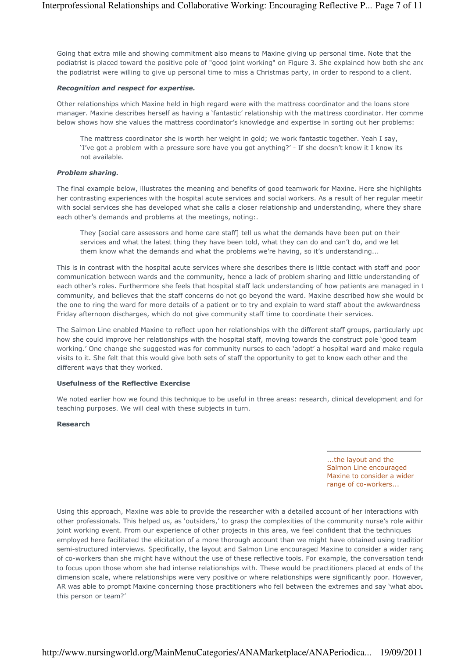Going that extra mile and showing commitment also means to Maxine giving up personal time. Note that the podiatrist is placed toward the positive pole of "good joint working" on Figure 3. She explained how both she and the podiatrist were willing to give up personal time to miss a Christmas party, in order to respond to a client.

#### Recognition and respect for expertise.

Other relationships which Maxine held in high regard were with the mattress coordinator and the loans store manager. Maxine describes herself as having a 'fantastic' relationship with the mattress coordinator. Her comme below shows how she values the mattress coordinator's knowledge and expertise in sorting out her problems:

The mattress coordinator she is worth her weight in gold; we work fantastic together. Yeah I say, 'I've got a problem with a pressure sore have you got anything?' - If she doesn't know it I know its not available.

#### Problem sharing.

The final example below, illustrates the meaning and benefits of good teamwork for Maxine. Here she highlights her contrasting experiences with the hospital acute services and social workers. As a result of her regular meetir with social services she has developed what she calls a closer relationship and understanding, where they share each other's demands and problems at the meetings, noting:.

They [social care assessors and home care staff] tell us what the demands have been put on their services and what the latest thing they have been told, what they can do and can't do, and we let them know what the demands and what the problems we're having, so it's understanding...

This is in contrast with the hospital acute services where she describes there is little contact with staff and poor communication between wards and the community, hence a lack of problem sharing and little understanding of each other's roles. Furthermore she feels that hospital staff lack understanding of how patients are managed in t community, and believes that the staff concerns do not go beyond the ward. Maxine described how she would be the one to ring the ward for more details of a patient or to try and explain to ward staff about the awkwardness Friday afternoon discharges, which do not give community staff time to coordinate their services.

The Salmon Line enabled Maxine to reflect upon her relationships with the different staff groups, particularly upc how she could improve her relationships with the hospital staff, moving towards the construct pole 'good team working.' One change she suggested was for community nurses to each 'adopt' a hospital ward and make regular visits to it. She felt that this would give both sets of staff the opportunity to get to know each other and the different ways that they worked.

#### Usefulness of the Reflective Exercise

We noted earlier how we found this technique to be useful in three areas: research, clinical development and for teaching purposes. We will deal with these subjects in turn.

#### Research

...the layout and the Salmon Line encouraged Maxine to consider a wider range of co-workers...

Using this approach, Maxine was able to provide the researcher with a detailed account of her interactions with other professionals. This helped us, as 'outsiders,' to grasp the complexities of the community nurse's role withir joint working event. From our experience of other projects in this area, we feel confident that the techniques employed here facilitated the elicitation of a more thorough account than we might have obtained using traditior semi-structured interviews. Specifically, the layout and Salmon Line encouraged Maxine to consider a wider rang of co-workers than she might have without the use of these reflective tools. For example, the conversation tende to focus upon those whom she had intense relationships with. These would be practitioners placed at ends of the dimension scale, where relationships were very positive or where relationships were significantly poor. However, AR was able to prompt Maxine concerning those practitioners who fell between the extremes and say 'what about this person or team?'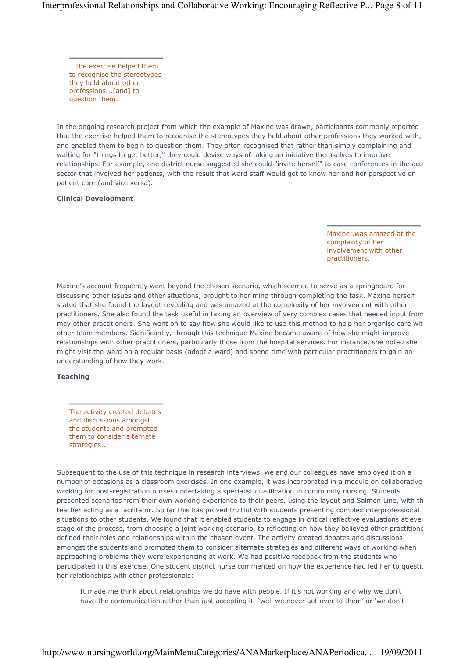...the exercise helped them to recognise the stereotypes they held about other professions...[and] to question them.

In the ongoing research project from which the example of Maxine was drawn, participants commonly reported that the exercise helped them to recognise the stereotypes they held about other professions they worked with, and enabled them to begin to question them. They often recognised that rather than simply complaining and waiting for "things to get better," they could devise ways of taking an initiative themselves to improve relationships. For example, one district nurse suggested she could "invite herself" to case conferences in the acu sector that involved her patients, with the result that ward staff would get to know her and her perspective on patient care (and vice versa).

#### Clinical Development

Maxine..was amazed at the complexity of her involvement with other practitioners.

Maxine's account frequently went beyond the chosen scenario, which seemed to serve as a springboard for discussing other issues and other situations, brought to her mind through completing the task. Maxine herself stated that she found the layout revealing and was amazed at the complexity of her involvement with other practitioners. She also found the task useful in taking an overview of very complex cases that needed input from may other practitioners. She went on to say how she would like to use this method to help her organise care with other team members. Significantly, through this technique Maxine became aware of how she might improve relationships with other practitioners, particularly those from the hospital services. For instance, she noted she might visit the ward on a regular basis (adopt a ward) and spend time with particular practitioners to gain an understanding of how they work.

#### Teaching

The activity created debates and discussions amongst the students and prompted them to consider alternate strategies...

Subsequent to the use of this technique in research interviews, we and our colleagues have employed it on a number of occasions as a classroom exercises. In one example, it was incorporated in a module on collaborative working for post-registration nurses undertaking a specialist qualification in community nursing. Students presented scenarios from their own working experience to their peers, using the layout and Salmon Line, with th teacher acting as a facilitator. So far this has proved fruitful with students presenting complex interprofessional situations to other students. We found that it enabled students to engage in critical reflective evaluations at ever stage of the process, from choosing a joint working scenario, to reflecting on how they believed other practitione defined their roles and relationships within the chosen event. The activity created debates and discussions amongst the students and prompted them to consider alternate strategies and different ways of working when approaching problems they were experiencing at work. We had positive feedback from the students who participated in this exercise. One student district nurse commented on how the experience had led her to questic her relationships with other professionals:

It made me think about relationships we do have with people. If it's not working and why we don't have the communication rather than just accepting it- 'well we never get over to them' or 'we don't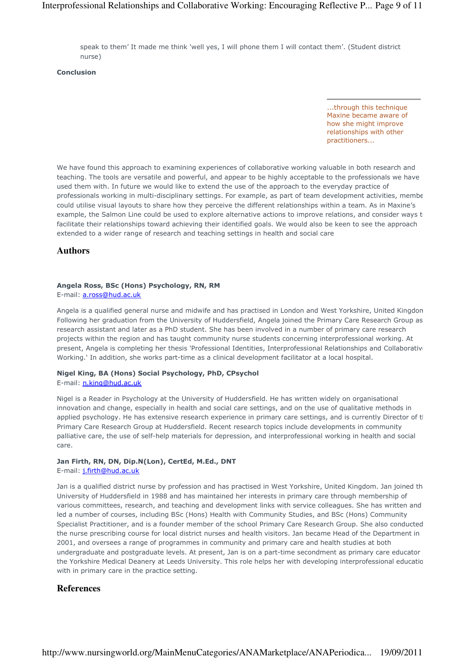speak to them' It made me think 'well yes, I will phone them I will contact them'. (Student district nurse)

Conclusion

...through this technique Maxine became aware of how she might improve relationships with other practitioners...

We have found this approach to examining experiences of collaborative working valuable in both research and teaching. The tools are versatile and powerful, and appear to be highly acceptable to the professionals we have used them with. In future we would like to extend the use of the approach to the everyday practice of professionals working in multi-disciplinary settings. For example, as part of team development activities, membe could utilise visual layouts to share how they perceive the different relationships within a team. As in Maxine's example, the Salmon Line could be used to explore alternative actions to improve relations, and consider ways t facilitate their relationships toward achieving their identified goals. We would also be keen to see the approach extended to a wider range of research and teaching settings in health and social care

#### **Authors**

#### Angela Ross, BSc (Hons) Psychology, RN, RM

E-mail: a.ross@hud.ac.uk

Angela is a qualified general nurse and midwife and has practised in London and West Yorkshire, United Kingdom. Following her graduation from the University of Huddersfield, Angela joined the Primary Care Research Group as research assistant and later as a PhD student. She has been involved in a number of primary care research projects within the region and has taught community nurse students concerning interprofessional working. At present, Angela is completing her thesis 'Professional Identities, Interprofessional Relationships and Collaborative Working.' In addition, she works part-time as a clinical development facilitator at a local hospital.

# Nigel King, BA (Hons) Social Psychology, PhD, CPsychol

E-mail: n.king@hud.ac.uk

Nigel is a Reader in Psychology at the University of Huddersfield. He has written widely on organisational innovation and change, especially in health and social care settings, and on the use of qualitative methods in applied psychology. He has extensive research experience in primary care settings, and is currently Director of the Primary Care Research Group at Huddersfield. Recent research topics include developments in community palliative care, the use of self-help materials for depression, and interprofessional working in health and social care.

# Jan Firth, RN, DN, Dip.N(Lon), CertEd, M.Ed., DNT

E-mail: j.firth@hud.ac.uk

Jan is a qualified district nurse by profession and has practised in West Yorkshire, United Kingdom. Jan joined th University of Huddersfield in 1988 and has maintained her interests in primary care through membership of various committees, research, and teaching and development links with service colleagues. She has written and led a number of courses, including BSc (Hons) Health with Community Studies, and BSc (Hons) Community Specialist Practitioner, and is a founder member of the school Primary Care Research Group. She also conducted the nurse prescribing course for local district nurses and health visitors. Jan became Head of the Department in 2001, and oversees a range of programmes in community and primary care and health studies at both undergraduate and postgraduate levels. At present, Jan is on a part-time secondment as primary care educator at the Yorkshire Medical Deanery at Leeds University. This role helps her with developing interprofessional education with in primary care in the practice setting.

# **References**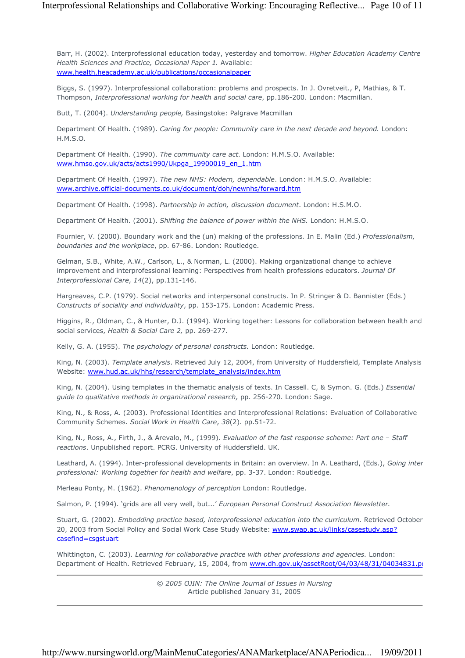# Interprofessional Relationships and Collaborative Working: Encouraging Reflective... Page 10 of 11

Barr, H. (2002). Interprofessional education today, yesterday and tomorrow. Higher Education Academy Centre Health Sciences and Practice, Occasional Paper 1. Available: www.health.heacademy.ac.uk/publications/occasionalpaper

Biggs, S. (1997). Interprofessional collaboration: problems and prospects. In J. Ovretveit., P, Mathias, & T. Thompson, Interprofessional working for health and social care, pp.186-200. London: Macmillan.

Butt, T. (2004). Understanding people, Basingstoke: Palgrave Macmillan

Department Of Health. (1989). Caring for people: Community care in the next decade and beyond. London: H.M.S.O.

Department Of Health. (1990). The community care act. London: H.M.S.O. Available: www.hmso.gov.uk/acts/acts1990/Ukpga\_19900019\_en\_1.htm

Department Of Health. (1997). The new NHS: Modern, dependable. London: H.M.S.O. Available: www.archive.official-documents.co.uk/document/doh/newnhs/forward.htm

Department Of Health. (1998). Partnership in action, discussion document. London: H.S.M.O.

Department Of Health. (2001). Shifting the balance of power within the NHS. London: H.M.S.O.

Fournier, V. (2000). Boundary work and the (un) making of the professions. In E. Malin (Ed.) Professionalism, boundaries and the workplace, pp. 67-86. London: Routledge.

Gelman, S.B., White, A.W., Carlson, L., & Norman, L. (2000). Making organizational change to achieve improvement and interprofessional learning: Perspectives from health professions educators. Journal Of Interprofessional Care, 14(2), pp.131-146.

Hargreaves, C.P. (1979). Social networks and interpersonal constructs. In P. Stringer & D. Bannister (Eds.) Constructs of sociality and individuality, pp. 153-175. London: Academic Press.

Higgins, R., Oldman, C., & Hunter, D.J. (1994). Working together: Lessons for collaboration between health and social services, Health & Social Care 2, pp. 269-277.

Kelly, G. A. (1955). The psychology of personal constructs. London: Routledge.

King, N. (2003). Template analysis. Retrieved July 12, 2004, from University of Huddersfield, Template Analysis Website: www.hud.ac.uk/hhs/research/template\_analysis/index.htm

King, N. (2004). Using templates in the thematic analysis of texts. In Cassell. C, & Symon. G. (Eds.) Essential guide to qualitative methods in organizational research, pp. 256-270. London: Sage.

King, N., & Ross, A. (2003). Professional Identities and Interprofessional Relations: Evaluation of Collaborative Community Schemes. Social Work in Health Care, 38(2). pp.51-72.

King, N., Ross, A., Firth, J., & Arevalo, M., (1999). Evaluation of the fast response scheme: Part one – Staff reactions. Unpublished report. PCRG. University of Huddersfield. UK.

Leathard, A. (1994). Inter-professional developments in Britain: an overview. In A. Leathard, (Eds.), Going inter professional: Working together for health and welfare, pp. 3-37. London: Routledge.

Merleau Ponty, M. (1962). Phenomenology of perception London: Routledge.

Salmon, P. (1994). 'grids are all very well, but...' European Personal Construct Association Newsletter.

Stuart, G. (2002). Embedding practice based, interprofessional education into the curriculum. Retrieved October 20, 2003 from Social Policy and Social Work Case Study Website: www.swap.ac.uk/links/casestudy.asp? casefind=csgstuart

Whittington, C. (2003). Learning for collaborative practice with other professions and agencies. London: Department of Health. Retrieved February, 15, 2004, from www.dh.gov.uk/assetRoot/04/03/48/31/04034831.pd

> © 2005 OJIN: The Online Journal of Issues in Nursing Article published January 31, 2005